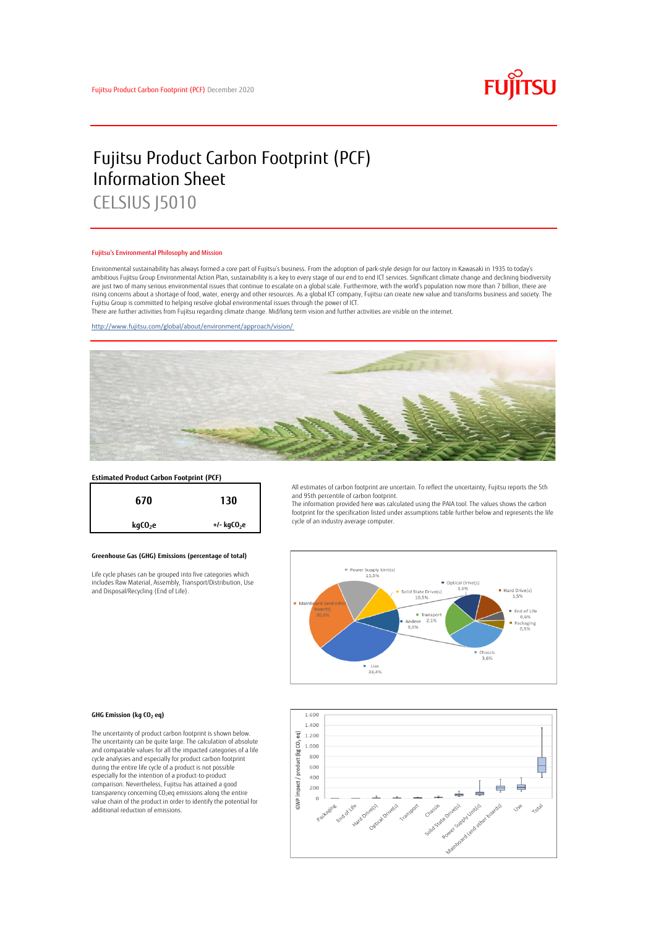

# Fujitsu Product Carbon Footprint (PCF) Information Sheet CELSIUS J5010

#### Fujitsu's Environmental Philosophy and Mission

Environmental sustainability has always formed a core part of Fujitsu's business. From the adoption of park-style design for our factory in Kawasaki in 1935 to today's ambitious Fujitsu Group Environmental Action Plan, sustainability is a key to every stage of our end to end ICT services. Significant climate change and declining biodiversity are just two of many serious environmental issues that continue to escalate on a global scale. Furthermore, with the world's population now more than 7 billion, there are<br>rising concerns about a shortage of food, water, en Fujitsu Group is committed to helping resolve global environmental issues through the power of ICT.

There are further activities from Fujitsu regarding climate change. Mid/long term vision and further activities are visible on the internet.

<http://www.fujitsu.com/global/about/environment/approach/vision/>



# **Estimated Product Carbon Footprint (PCF)**



### **Greenhouse Gas (GHG) Emissions (percentage of total)**

Life cycle phases can be grouped into five categories which includes Raw Material, Assembly, Transport/Distribution, Use and Disposal/Recycling (End of Life).

All estimates of carbon footprint are uncertain. To reflect the uncertainty, Fujitsu reports the 5th and 95th percentile of carbon footprint.

The information provided here was calculated using the PAIA tool. The values shows the carbon footprint for the specification listed under assumptions table further below and represents the life cycle of an industry average computer.



#### **GHG Emission (kg CO<sup>2</sup> eq)**

The uncertainty of product carbon footprint is shown below. The uncertainty can be quite large. The calculation of absolute and comparable values for all the impacted categories of a life cycle analysies and especially for product carbon footprint during the entire life cycle of a product is not possible especially for the intention of a product-to-product comparison. Nevertheless, Fujitsu has attained a good transparency concerning CO2eq emissions along the entire value chain of the product in order to identify the potential for additional reduction of emissions.